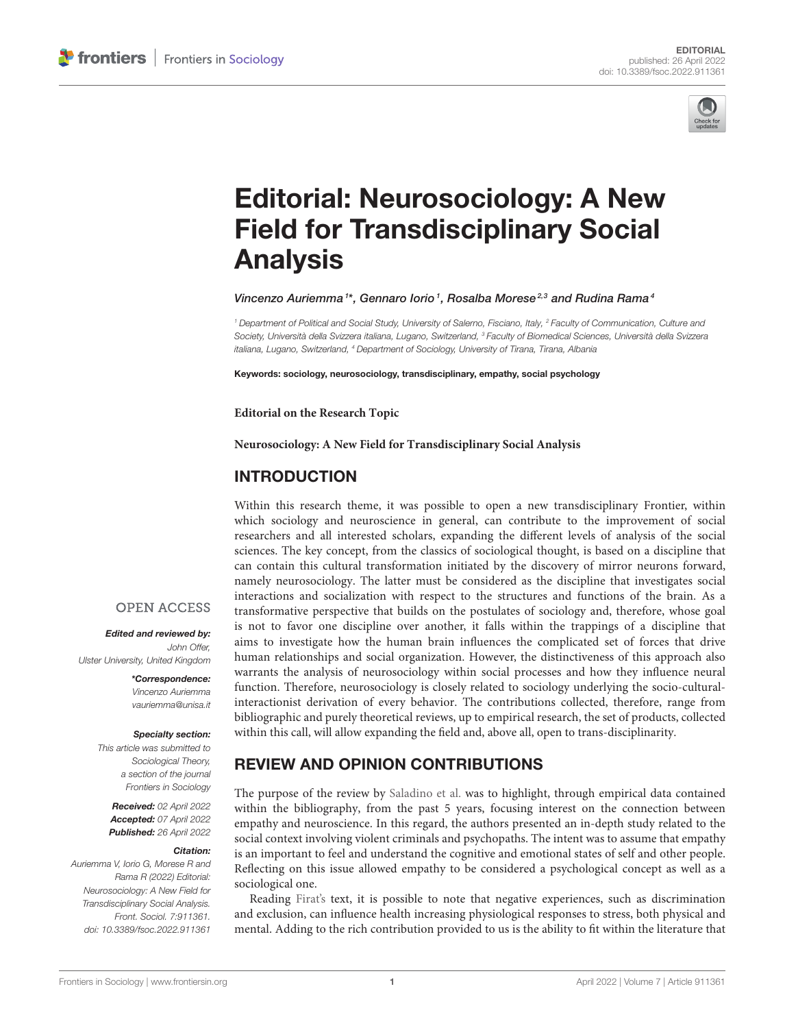

# [Editorial: Neurosociology: A New](https://www.frontiersin.org/articles/10.3389/fsoc.2022.911361/full) Field for Transdisciplinary Social Analysis

Vincenzo Auriemma<sup>1\*</sup>, Gennaro Iorio<sup>1</sup>, Rosalba Morese<sup>2,3</sup> and Rudina Rama<sup>4</sup>

<sup>1</sup> Department of Political and Social Study, University of Salerno, Fisciano, Italy, <sup>2</sup> Faculty of Communication, Culture and Society, Università della Svizzera italiana, Lugano, Switzerland, <sup>3</sup> Faculty of Biomedical Sciences, Università della Svizzera italiana, Lugano, Switzerland, <sup>4</sup> Department of Sociology, University of Tirana, Tirana, Albania

Keywords: sociology, neurosociology, transdisciplinary, empathy, social psychology

**Editorial on the Research Topic**

**[Neurosociology: A New Field for Transdisciplinary Social Analysis](https://www.frontiersin.org/research-topics/13270/neurosociology-a-new-field-for-transdisciplinary-social-analysis)**

## INTRODUCTION

Within this research theme, it was possible to open a new transdisciplinary Frontier, within which sociology and neuroscience in general, can contribute to the improvement of social researchers and all interested scholars, expanding the different levels of analysis of the social sciences. The key concept, from the classics of sociological thought, is based on a discipline that can contain this cultural transformation initiated by the discovery of mirror neurons forward, namely neurosociology. The latter must be considered as the discipline that investigates social interactions and socialization with respect to the structures and functions of the brain. As a transformative perspective that builds on the postulates of sociology and, therefore, whose goal is not to favor one discipline over another, it falls within the trappings of a discipline that aims to investigate how the human brain influences the complicated set of forces that drive human relationships and social organization. However, the distinctiveness of this approach also warrants the analysis of neurosociology within social processes and how they influence neural function. Therefore, neurosociology is closely related to sociology underlying the socio-culturalinteractionist derivation of every behavior. The contributions collected, therefore, range from bibliographic and purely theoretical reviews, up to empirical research, the set of products, collected within this call, will allow expanding the field and, above all, open to trans-disciplinarity.

## REVIEW AND OPINION CONTRIBUTIONS

The purpose of the review by [Saladino et al.](https://doi.org/10.3389/fpsyg.2021.694212) was to highlight, through empirical data contained within the bibliography, from the past 5 years, focusing interest on the connection between empathy and neuroscience. In this regard, the authors presented an in-depth study related to the social context involving violent criminals and psychopaths. The intent was to assume that empathy is an important to feel and understand the cognitive and emotional states of self and other people. Reflecting on this issue allowed empathy to be considered a psychological concept as well as a sociological one.

Reading [Firat's](https://doi.org/10.3389/fsoc.2021.695042) text, it is possible to note that negative experiences, such as discrimination and exclusion, can influence health increasing physiological responses to stress, both physical and mental. Adding to the rich contribution provided to us is the ability to fit within the literature that

### **OPEN ACCESS**

Edited and reviewed by: John Offer, Ulster University, United Kingdom

> \*Correspondence: Vincenzo Auriemma [vauriemma@unisa.it](mailto:vauriemma@unisa.it)

#### Specialty section:

This article was submitted to Sociological Theory, a section of the journal Frontiers in Sociology

Received: 02 April 2022 Accepted: 07 April 2022 Published: 26 April 2022

#### Citation:

Auriemma V, Iorio G, Morese R and Rama R (2022) Editorial: Neurosociology: A New Field for Transdisciplinary Social Analysis. Front. Sociol. 7:911361. doi: [10.3389/fsoc.2022.911361](https://doi.org/10.3389/fsoc.2022.911361)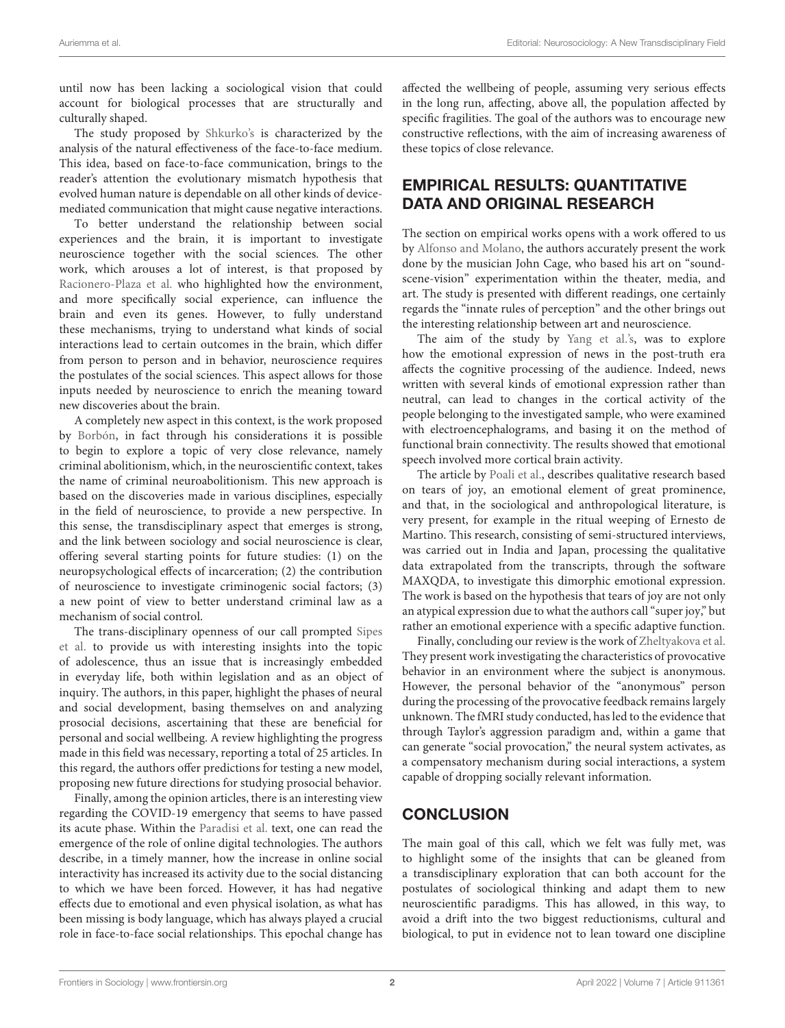until now has been lacking a sociological vision that could account for biological processes that are structurally and culturally shaped.

The study proposed by [Shkurko's](https://doi.org/10.3389/fsoc.2022.788447) is characterized by the analysis of the natural effectiveness of the face-to-face medium. This idea, based on face-to-face communication, brings to the reader's attention the evolutionary mismatch hypothesis that evolved human nature is dependable on all other kinds of devicemediated communication that might cause negative interactions.

To better understand the relationship between social experiences and the brain, it is important to investigate neuroscience together with the social sciences. The other work, which arouses a lot of interest, is that proposed by [Racionero-Plaza et al.](https://doi.org/10.3389/fnbeh.2021.814796) who highlighted how the environment, and more specifically social experience, can influence the brain and even its genes. However, to fully understand these mechanisms, trying to understand what kinds of social interactions lead to certain outcomes in the brain, which differ from person to person and in behavior, neuroscience requires the postulates of the social sciences. This aspect allows for those inputs needed by neuroscience to enrich the meaning toward new discoveries about the brain.

A completely new aspect in this context, is the work proposed by [Borbón,](https://doi.org/10.3389/fsoc.2022.814338) in fact through his considerations it is possible to begin to explore a topic of very close relevance, namely criminal abolitionism, which, in the neuroscientific context, takes the name of criminal neuroabolitionism. This new approach is based on the discoveries made in various disciplines, especially in the field of neuroscience, to provide a new perspective. In this sense, the transdisciplinary aspect that emerges is strong, and the link between sociology and social neuroscience is clear, offering several starting points for future studies: (1) on the neuropsychological effects of incarceration; (2) the contribution of neuroscience to investigate criminogenic social factors; (3) a new point of view to better understand criminal law as a mechanism of social control.

The trans-disciplinary openness of our call prompted Sipes et al. [to provide us with interesting insights into the topic](https://doi.org/10.3389/fnbeh.2022.815811) of adolescence, thus an issue that is increasingly embedded in everyday life, both within legislation and as an object of inquiry. The authors, in this paper, highlight the phases of neural and social development, basing themselves on and analyzing prosocial decisions, ascertaining that these are beneficial for personal and social wellbeing. A review highlighting the progress made in this field was necessary, reporting a total of 25 articles. In this regard, the authors offer predictions for testing a new model, proposing new future directions for studying prosocial behavior.

Finally, among the opinion articles, there is an interesting view regarding the COVID-19 emergency that seems to have passed its acute phase. Within the [Paradisi et al.](https://doi.org/10.3389/fnbeh.2021.709365) text, one can read the emergence of the role of online digital technologies. The authors describe, in a timely manner, how the increase in online social interactivity has increased its activity due to the social distancing to which we have been forced. However, it has had negative effects due to emotional and even physical isolation, as what has been missing is body language, which has always played a crucial role in face-to-face social relationships. This epochal change has affected the wellbeing of people, assuming very serious effects in the long run, affecting, above all, the population affected by specific fragilities. The goal of the authors was to encourage new constructive reflections, with the aim of increasing awareness of these topics of close relevance.

## EMPIRICAL RESULTS: QUANTITATIVE DATA AND ORIGINAL RESEARCH

The section on empirical works opens with a work offered to us by [Alfonso and Molano,](https://doi.org/10.3389/fsoc.2021.695991) the authors accurately present the work done by the musician John Cage, who based his art on "soundscene-vision" experimentation within the theater, media, and art. The study is presented with different readings, one certainly regards the "innate rules of perception" and the other brings out the interesting relationship between art and neuroscience.

The aim of the study by [Yang et al.'s,](https://doi.org/10.3389/fpsyg.2021.734147) was to explore how the emotional expression of news in the post-truth era affects the cognitive processing of the audience. Indeed, news written with several kinds of emotional expression rather than neutral, can lead to changes in the cortical activity of the people belonging to the investigated sample, who were examined with electroencephalograms, and basing it on the method of functional brain connectivity. The results showed that emotional speech involved more cortical brain activity.

The article by [Poali et al.,](https://doi.org/10.3389/fpsyg.2022.792580) describes qualitative research based on tears of joy, an emotional element of great prominence, and that, in the sociological and anthropological literature, is very present, for example in the ritual weeping of Ernesto de Martino. This research, consisting of semi-structured interviews, was carried out in India and Japan, processing the qualitative data extrapolated from the transcripts, through the software MAXQDA, to investigate this dimorphic emotional expression. The work is based on the hypothesis that tears of joy are not only an atypical expression due to what the authors call "super joy," but rather an emotional experience with a specific adaptive function.

Finally, concluding our review is the work of [Zheltyakova et al.](https://doi.org/10.3389/fnbeh.2022.807599) They present work investigating the characteristics of provocative behavior in an environment where the subject is anonymous. However, the personal behavior of the "anonymous" person during the processing of the provocative feedback remains largely unknown. The fMRI study conducted, has led to the evidence that through Taylor's aggression paradigm and, within a game that can generate "social provocation," the neural system activates, as a compensatory mechanism during social interactions, a system capable of dropping socially relevant information.

# **CONCLUSION**

The main goal of this call, which we felt was fully met, was to highlight some of the insights that can be gleaned from a transdisciplinary exploration that can both account for the postulates of sociological thinking and adapt them to new neuroscientific paradigms. This has allowed, in this way, to avoid a drift into the two biggest reductionisms, cultural and biological, to put in evidence not to lean toward one discipline